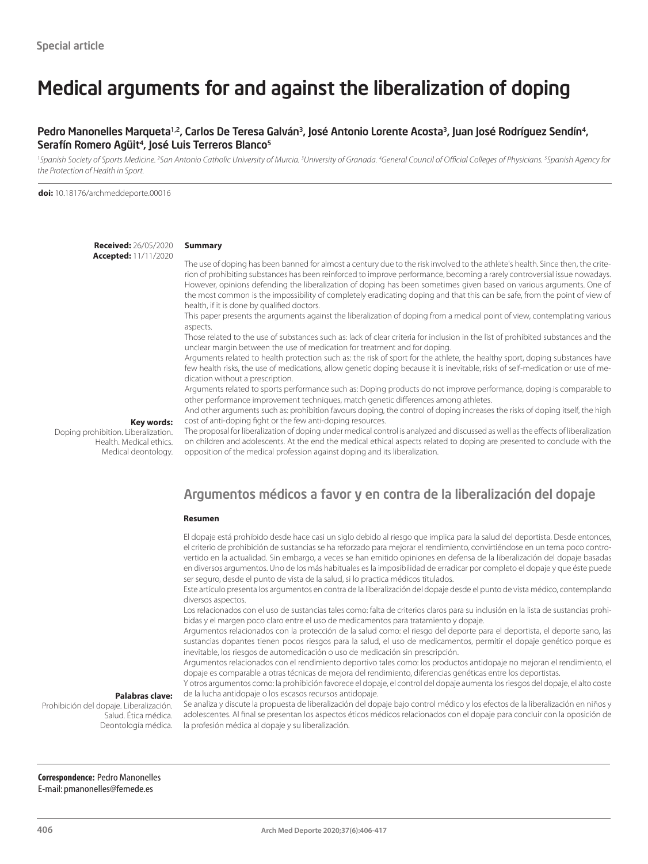## Medical arguments for and against the liberalization of doping

### Pedro Manonelles Marqueta<sup>1,2</sup>, Carlos De Teresa Galván<sup>3</sup>, José Antonio Lorente Acosta<sup>3</sup>, Juan José Rodríguez Sendín<sup>4</sup>, Serafín Romero Agüit<sup>4</sup>, José Luis Terreros Blanco<sup>5</sup>

<sup>1</sup>Spanish Society of Sports Medicine. <sup>2</sup>San Antonio Catholic University of Murcia. <sup>3</sup>University of Granada. <sup>4</sup>General Council of Official Colleges of Physicians. <sup>5</sup>Spanish Agency for *the Protection of Health in Sport.*

**doi:** 10.18176/archmeddeporte.00016

**Received:** 26/05/2020 **Accepted:** 11/11/2020

#### **Summary**

The use of doping has been banned for almost a century due to the risk involved to the athlete's health. Since then, the criterion of prohibiting substances has been reinforced to improve performance, becoming a rarely controversial issue nowadays. However, opinions defending the liberalization of doping has been sometimes given based on various arguments. One of the most common is the impossibility of completely eradicating doping and that this can be safe, from the point of view of health, if it is done by qualified doctors.

This paper presents the arguments against the liberalization of doping from a medical point of view, contemplating various aspects.

Those related to the use of substances such as: lack of clear criteria for inclusion in the list of prohibited substances and the unclear margin between the use of medication for treatment and for doping.

Arguments related to health protection such as: the risk of sport for the athlete, the healthy sport, doping substances have few health risks, the use of medications, allow genetic doping because it is inevitable, risks of self-medication or use of medication without a prescription.

Arguments related to sports performance such as: Doping products do not improve performance, doping is comparable to other performance improvement techniques, match genetic differences among athletes.

And other arguments such as: prohibition favours doping, the control of doping increases the risks of doping itself, the high cost of anti-doping fight or the few anti-doping resources.

**Key words:** 

Doping prohibition. Liberalization. Health. Medical ethics. Medical deontology. The proposal for liberalization of doping under medical control is analyzed and discussed as well as the effects of liberalization on children and adolescents. At the end the medical ethical aspects related to doping are presented to conclude with the opposition of the medical profession against doping and its liberalization.

### Argumentos médicos a favor y en contra de la liberalización del dopaje

#### **Resumen**

El dopaje está prohibido desde hace casi un siglo debido al riesgo que implica para la salud del deportista. Desde entonces, el criterio de prohibición de sustancias se ha reforzado para mejorar el rendimiento, convirtiéndose en un tema poco controvertido en la actualidad. Sin embargo, a veces se han emitido opiniones en defensa de la liberalización del dopaje basadas en diversos argumentos. Uno de los más habituales es la imposibilidad de erradicar por completo el dopaje y que éste puede ser seguro, desde el punto de vista de la salud, si lo practica médicos titulados.

Este artículo presenta los argumentos en contra de la liberalización del dopaje desde el punto de vista médico, contemplando diversos aspectos.

Los relacionados con el uso de sustancias tales como: falta de criterios claros para su inclusión en la lista de sustancias prohibidas y el margen poco claro entre el uso de medicamentos para tratamiento y dopaje.

Argumentos relacionados con la protección de la salud como: el riesgo del deporte para el deportista, el deporte sano, las sustancias dopantes tienen pocos riesgos para la salud, el uso de medicamentos, permitir el dopaje genético porque es inevitable, los riesgos de automedicación o uso de medicación sin prescripción.

Argumentos relacionados con el rendimiento deportivo tales como: los productos antidopaje no mejoran el rendimiento, el dopaje es comparable a otras técnicas de mejora del rendimiento, diferencias genéticas entre los deportistas. Y otros argumentos como: la prohibición favorece el dopaje, el control del dopaje aumenta los riesgos del dopaje, el alto coste

**Palabras clave:** 

Prohibición del dopaje. Liberalización. Salud. Ética médica. Deontología médica.

de la lucha antidopaje o los escasos recursos antidopaje. Se analiza y discute la propuesta de liberalización del dopaje bajo control médico y los efectos de la liberalización en niños y adolescentes. Al final se presentan los aspectos éticos médicos relacionados con el dopaje para concluir con la oposición de la profesión médica al dopaje y su liberalización.

**Correspondence:** Pedro Manonelles E-mail: pmanonelles@femede.es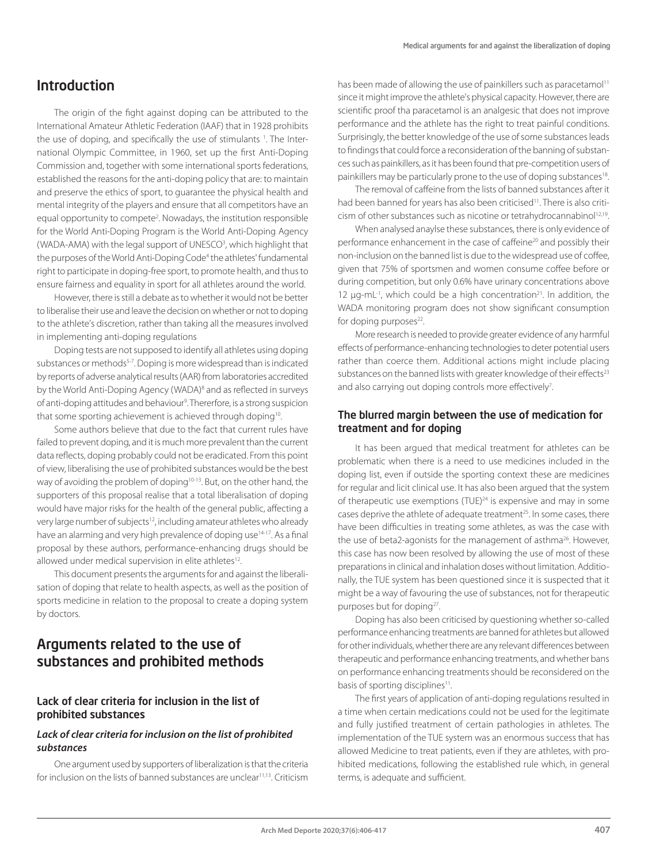### Introduction

The origin of the fight against doping can be attributed to the International Amateur Athletic Federation (IAAF) that in 1928 prohibits the use of doping, and specifically the use of stimulants 1. The International Olympic Committee, in 1960, set up the first Anti-Doping Commission and, together with some international sports federations, established the reasons for the anti-doping policy that are: to maintain and preserve the ethics of sport, to guarantee the physical health and mental integrity of the players and ensure that all competitors have an equal opportunity to compete<sup>2</sup>. Nowadays, the institution responsible for the World Anti-Doping Program is the World Anti-Doping Agency (WADA-AMA) with the legal support of UNESCO<sup>3</sup>, which highlight that the purposes of the World Anti-Doping Code<sup>4</sup> the athletes' fundamental right to participate in doping-free sport, to promote health, and thus to ensure fairness and equality in sport for all athletes around the world.

However, there is still a debate as to whether it would not be better to liberalise their use and leave the decision on whether or not to doping to the athlete's discretion, rather than taking all the measures involved in implementing anti-doping regulations

Doping tests are not supposed to identify all athletes using doping substances or methods<sup>5-7</sup>. Doping is more widespread than is indicated by reports of adverse analytical results (AAR) from laboratories accredited by the World Anti-Doping Agency (WADA)<sup>8</sup> and as reflected in surveys of anti-doping attitudes and behaviour<sup>9</sup>. Thererfore, is a strong suspicion that some sporting achievement is achieved through doping<sup>10</sup>.

Some authors believe that due to the fact that current rules have failed to prevent doping, and it is much more prevalent than the current data reflects, doping probably could not be eradicated. From this point of view, liberalising the use of prohibited substances would be the best way of avoiding the problem of doping<sup>10-13</sup>. But, on the other hand, the supporters of this proposal realise that a total liberalisation of doping would have major risks for the health of the general public, affecting a very large number of subjects<sup>12</sup>, including amateur athletes who already have an alarming and very high prevalence of doping use<sup>14-17</sup>. As a final proposal by these authors, performance-enhancing drugs should be allowed under medical supervision in elite athletes<sup>12</sup>.

This document presents the arguments for and against the liberalisation of doping that relate to health aspects, as well as the position of sports medicine in relation to the proposal to create a doping system by doctors.

### Arguments related to the use of substances and prohibited methods

### Lack of clear criteria for inclusion in the list of prohibited substances

### *Lack of clear criteria for inclusion on the list of prohibited substances*

One argument used by supporters of liberalization is that the criteria for inclusion on the lists of banned substances are unclear<sup>11,13</sup>. Criticism has been made of allowing the use of painkillers such as paracetamol<sup>11</sup> since it might improve the athlete's physical capacity. However, there are scientific proof tha paracetamol is an analgesic that does not improve performance and the athlete has the right to treat painful conditions. Surprisingly, the better knowledge of the use of some substances leads to findings that could force a reconsideration of the banning of substances such as painkillers, as it has been found that pre-competition users of painkillers may be particularly prone to the use of doping substances18.

The removal of caffeine from the lists of banned substances after it had been banned for years has also been criticised<sup>11</sup>. There is also criticism of other substances such as nicotine or tetrahydrocannabinol<sup>12,19</sup>.

When analysed anaylse these substances, there is only evidence of performance enhancement in the case of caffeine20 and possibly their non-inclusion on the banned list is due to the widespread use of coffee, given that 75% of sportsmen and women consume coffee before or during competition, but only 0.6% have urinary concentrations above 12  $\mu$ g-mL<sup>-1</sup>, which could be a high concentration<sup>21</sup>. In addition, the WADA monitoring program does not show significant consumption for doping purposes<sup>22</sup>.

More research is needed to provide greater evidence of any harmful effects of performance-enhancing technologies to deter potential users rather than coerce them. Additional actions might include placing substances on the banned lists with greater knowledge of their effects<sup>23</sup> and also carrying out doping controls more effectively<sup>7</sup>. .

### The blurred margin between the use of medication for treatment and for doping

It has been argued that medical treatment for athletes can be problematic when there is a need to use medicines included in the doping list, even if outside the sporting context these are medicines for regular and licit clinical use. It has also been argued that the system of therapeutic use exemptions (TUE)<sup>24</sup> is expensive and may in some cases deprive the athlete of adequate treatment<sup>25</sup>. In some cases, there have been difficulties in treating some athletes, as was the case with the use of beta2-agonists for the management of asthma<sup>26</sup>. However, this case has now been resolved by allowing the use of most of these preparations in clinical and inhalation doses without limitation. Additionally, the TUE system has been questioned since it is suspected that it might be a way of favouring the use of substances, not for therapeutic purposes but for doping<sup>27</sup>.

Doping has also been criticised by questioning whether so-called performance enhancing treatments are banned for athletes but allowed for other individuals, whether there are any relevant differences between therapeutic and performance enhancing treatments, and whether bans on performance enhancing treatments should be reconsidered on the basis of sporting disciplines<sup>11</sup>.

The first years of application of anti-doping regulations resulted in a time when certain medications could not be used for the legitimate and fully justified treatment of certain pathologies in athletes. The implementation of the TUE system was an enormous success that has allowed Medicine to treat patients, even if they are athletes, with prohibited medications, following the established rule which, in general terms, is adequate and sufficient.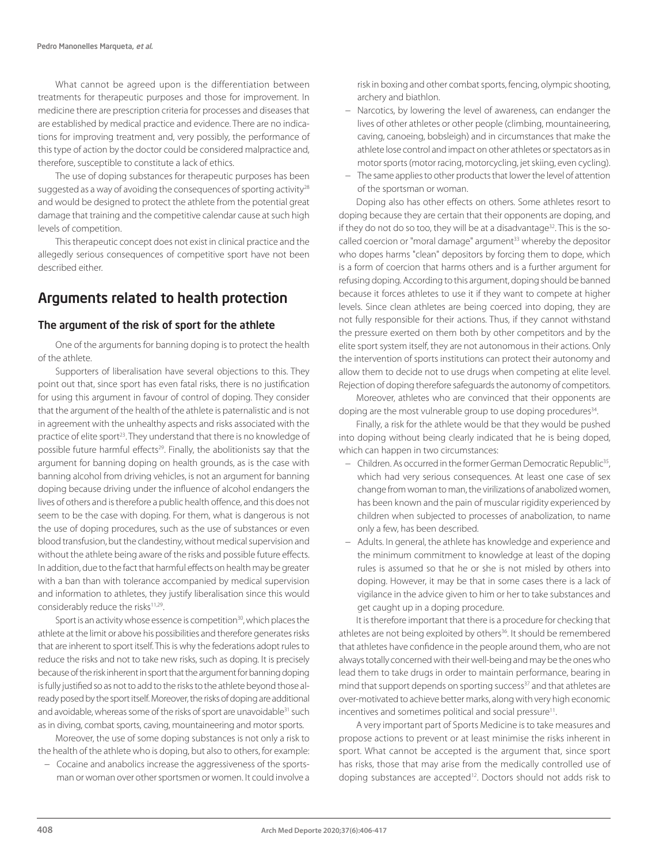What cannot be agreed upon is the differentiation between treatments for therapeutic purposes and those for improvement. In medicine there are prescription criteria for processes and diseases that are established by medical practice and evidence. There are no indications for improving treatment and, very possibly, the performance of this type of action by the doctor could be considered malpractice and, therefore, susceptible to constitute a lack of ethics.

The use of doping substances for therapeutic purposes has been suggested as a way of avoiding the consequences of sporting activity<sup>28</sup> and would be designed to protect the athlete from the potential great damage that training and the competitive calendar cause at such high levels of competition.

This therapeutic concept does not exist in clinical practice and the allegedly serious consequences of competitive sport have not been described either.

### Arguments related to health protection

### The argument of the risk of sport for the athlete

One of the arguments for banning doping is to protect the health of the athlete.

Supporters of liberalisation have several objections to this. They point out that, since sport has even fatal risks, there is no justification for using this argument in favour of control of doping. They consider that the argument of the health of the athlete is paternalistic and is not in agreement with the unhealthy aspects and risks associated with the practice of elite sport<sup>23</sup>. They understand that there is no knowledge of possible future harmful effects<sup>29</sup>. Finally, the abolitionists say that the argument for banning doping on health grounds, as is the case with banning alcohol from driving vehicles, is not an argument for banning doping because driving under the influence of alcohol endangers the lives of others and is therefore a public health offence, and this does not seem to be the case with doping. For them, what is dangerous is not the use of doping procedures, such as the use of substances or even blood transfusion, but the clandestiny, without medical supervision and without the athlete being aware of the risks and possible future effects. In addition, due to the fact that harmful effects on health may be greater with a ban than with tolerance accompanied by medical supervision and information to athletes, they justify liberalisation since this would considerably reduce the risks<sup>11,29</sup>.

Sport is an activity whose essence is competition<sup>30</sup>, which places the athlete at the limit or above his possibilities and therefore generates risks that are inherent to sport itself. This is why the federations adopt rules to reduce the risks and not to take new risks, such as doping. It is precisely because of the risk inherent in sport that the argument for banning doping is fully justified so as not to add to the risks to the athlete beyond those already posed by the sport itself. Moreover, the risks of doping are additional and avoidable, whereas some of the risks of sport are unavoidable<sup>31</sup> such as in diving, combat sports, caving, mountaineering and motor sports.

Moreover, the use of some doping substances is not only a risk to the health of the athlete who is doping, but also to others, for example:

− Cocaine and anabolics increase the aggressiveness of the sportsman or woman over other sportsmen or women. It could involve a

risk in boxing and other combat sports, fencing, olympic shooting, archery and biathlon.

- − Narcotics, by lowering the level of awareness, can endanger the lives of other athletes or other people (climbing, mountaineering, caving, canoeing, bobsleigh) and in circumstances that make the athlete lose control and impact on other athletes or spectators as in motor sports (motor racing, motorcycling, jet skiing, even cycling).
- − The same applies to other products that lower the level of attention of the sportsman or woman.

Doping also has other effects on others. Some athletes resort to doping because they are certain that their opponents are doping, and if they do not do so too, they will be at a disadvantage<sup>32</sup>. This is the socalled coercion or "moral damage" argument<sup>33</sup> whereby the depositor who dopes harms "clean" depositors by forcing them to dope, which is a form of coercion that harms others and is a further argument for refusing doping. According to this argument, doping should be banned because it forces athletes to use it if they want to compete at higher levels. Since clean athletes are being coerced into doping, they are not fully responsible for their actions. Thus, if they cannot withstand the pressure exerted on them both by other competitors and by the elite sport system itself, they are not autonomous in their actions. Only the intervention of sports institutions can protect their autonomy and allow them to decide not to use drugs when competing at elite level. Rejection of doping therefore safeguards the autonomy of competitors.

Moreover, athletes who are convinced that their opponents are doping are the most vulnerable group to use doping procedures<sup>34</sup>.

Finally, a risk for the athlete would be that they would be pushed into doping without being clearly indicated that he is being doped, which can happen in two circumstances:

- − Children. As occurred in the former German Democratic Republic35, which had very serious consequences. At least one case of sex change from woman to man, the virilizations of anabolized women, has been known and the pain of muscular rigidity experienced by children when subjected to processes of anabolization, to name only a few, has been described.
- − Adults. In general, the athlete has knowledge and experience and the minimum commitment to knowledge at least of the doping rules is assumed so that he or she is not misled by others into doping. However, it may be that in some cases there is a lack of vigilance in the advice given to him or her to take substances and get caught up in a doping procedure.

It is therefore important that there is a procedure for checking that athletes are not being exploited by others<sup>36</sup>. It should be remembered that athletes have confidence in the people around them, who are not always totally concerned with their well-being and may be the ones who lead them to take drugs in order to maintain performance, bearing in mind that support depends on sporting success<sup>37</sup> and that athletes are over-motivated to achieve better marks, along with very high economic incentives and sometimes political and social pressure<sup>11</sup>.

A very important part of Sports Medicine is to take measures and propose actions to prevent or at least minimise the risks inherent in sport. What cannot be accepted is the argument that, since sport has risks, those that may arise from the medically controlled use of doping substances are accepted<sup>12</sup>. Doctors should not adds risk to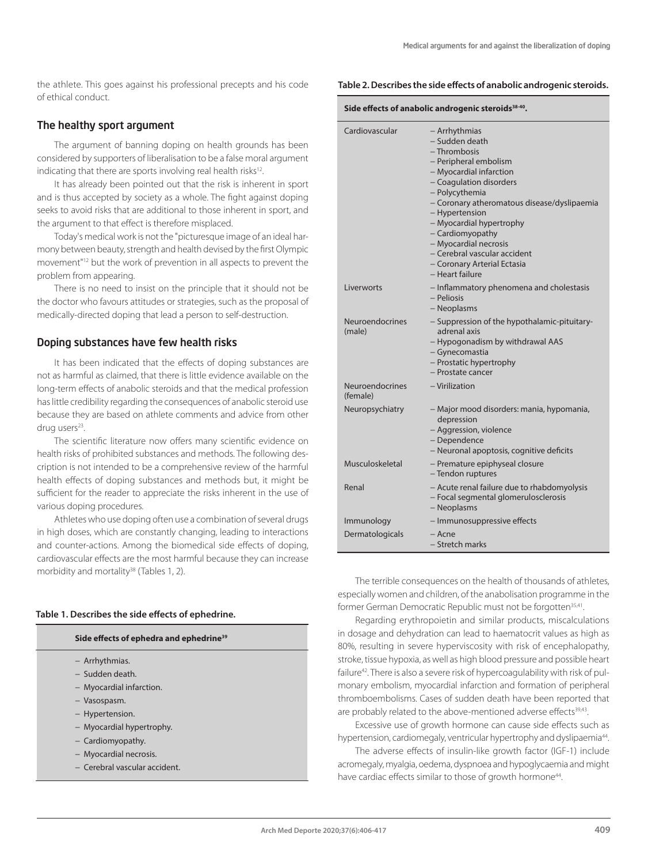the athlete. This goes against his professional precepts and his code of ethical conduct.

### The healthy sport argument

The argument of banning doping on health grounds has been considered by supporters of liberalisation to be a false moral argument indicating that there are sports involving real health risks<sup>12</sup>.

It has already been pointed out that the risk is inherent in sport and is thus accepted by society as a whole. The fight against doping seeks to avoid risks that are additional to those inherent in sport, and the argument to that effect is therefore misplaced.

Today's medical work is not the "picturesque image of an ideal harmony between beauty, strength and health devised by the first Olympic movement"12 but the work of prevention in all aspects to prevent the problem from appearing.

There is no need to insist on the principle that it should not be the doctor who favours attitudes or strategies, such as the proposal of medically-directed doping that lead a person to self-destruction.

#### Doping substances have few health risks

It has been indicated that the effects of doping substances are not as harmful as claimed, that there is little evidence available on the long-term effects of anabolic steroids and that the medical profession has little credibility regarding the consequences of anabolic steroid use because they are based on athlete comments and advice from other drug users<sup>23</sup>.

The scientific literature now offers many scientific evidence on health risks of prohibited substances and methods. The following description is not intended to be a comprehensive review of the harmful health effects of doping substances and methods but, it might be sufficient for the reader to appreciate the risks inherent in the use of various doping procedures.

Athletes who use doping often use a combination of several drugs in high doses, which are constantly changing, leading to interactions and counter-actions. Among the biomedical side effects of doping, cardiovascular effects are the most harmful because they can increase morbidity and mortality<sup>38</sup> (Tables 1, 2).

#### **Table 1. Describes the side effects of ephedrine.**

#### **Side effects of ephedra and ephedrine39**

- − Arrhythmias.
- − Sudden death.
- − Myocardial infarction.
- − Vasospasm.
- − Hypertension.
- − Myocardial hypertrophy.
- − Cardiomyopathy.
- − Myocardial necrosis.
- − Cerebral vascular accident.

#### **Table 2. Describes the side effects of anabolic androgenic steroids.**

| Side effects of anabolic androgenic steroids <sup>38-40</sup> . |                                                                                                                                                                                                                                                                                                                                                                              |
|-----------------------------------------------------------------|------------------------------------------------------------------------------------------------------------------------------------------------------------------------------------------------------------------------------------------------------------------------------------------------------------------------------------------------------------------------------|
| Cardiovascular                                                  | – Arrhythmias<br>- Sudden death<br>- Thrombosis<br>- Peripheral embolism<br>- Myocardial infarction<br>- Coagulation disorders<br>- Polycythemia<br>- Coronary atheromatous disease/dyslipaemia<br>- Hypertension<br>- Myocardial hypertrophy<br>- Cardiomyopathy<br>- Myocardial necrosis<br>- Cerebral vascular accident<br>- Coronary Arterial Ectasia<br>- Heart failure |
| Liverworts                                                      | - Inflammatory phenomena and cholestasis<br>- Peliosis<br>- Neoplasms                                                                                                                                                                                                                                                                                                        |
| Neuroendocrines<br>(male)                                       | - Suppression of the hypothalamic-pituitary-<br>adrenal axis<br>- Hypogonadism by withdrawal AAS<br>- Gynecomastia<br>- Prostatic hypertrophy<br>- Prostate cancer                                                                                                                                                                                                           |
| <b>Neuroendocrines</b><br>(female)                              | - Virilization                                                                                                                                                                                                                                                                                                                                                               |
| Neuropsychiatry                                                 | - Major mood disorders: mania, hypomania,<br>depression<br>- Aggression, violence<br>- Dependence<br>- Neuronal apoptosis, cognitive deficits                                                                                                                                                                                                                                |
| Musculoskeletal                                                 | - Premature epiphyseal closure<br>- Tendon ruptures                                                                                                                                                                                                                                                                                                                          |
| Renal                                                           | - Acute renal failure due to rhabdomyolysis<br>- Focal segmental glomerulosclerosis<br>- Neoplasms                                                                                                                                                                                                                                                                           |
| Immunology                                                      | - Immunosuppressive effects                                                                                                                                                                                                                                                                                                                                                  |
| Dermatologicals                                                 | – Acne<br>- Stretch marks                                                                                                                                                                                                                                                                                                                                                    |

The terrible consequences on the health of thousands of athletes, especially women and children, of the anabolisation programme in the former German Democratic Republic must not be forgotten<sup>35,41</sup>.

Regarding erythropoietin and similar products, miscalculations in dosage and dehydration can lead to haematocrit values as high as 80%, resulting in severe hyperviscosity with risk of encephalopathy, stroke, tissue hypoxia, as well as high blood pressure and possible heart failure<sup>42</sup>. There is also a severe risk of hypercoagulability with risk of pulmonary embolism, myocardial infarction and formation of peripheral thromboembolisms. Cases of sudden death have been reported that are probably related to the above-mentioned adverse effects<sup>39,43</sup>.

Excessive use of growth hormone can cause side effects such as hypertension, cardiomegaly, ventricular hypertrophy and dyslipaemia<sup>44</sup>.

The adverse effects of insulin-like growth factor (IGF-1) include acromegaly, myalgia, oedema, dyspnoea and hypoglycaemia and might have cardiac effects similar to those of growth hormone<sup>44</sup>.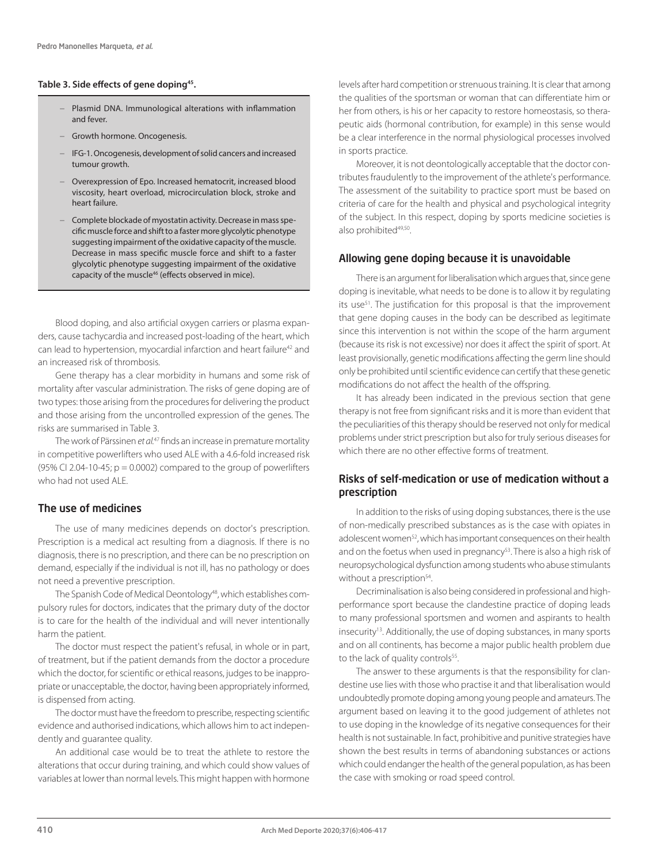#### **Table 3. Side effects of gene doping45.**

- − Plasmid DNA. Immunological alterations with inflammation and fever.
- − Growth hormone. Oncogenesis.
- − IFG-1. Oncogenesis, development of solid cancers and increased tumour growth.
- − Overexpression of Epo. Increased hematocrit, increased blood viscosity, heart overload, microcirculation block, stroke and heart failure.
- − Complete blockade of myostatin activity. Decrease in mass specific muscle force and shift to a faster more glycolytic phenotype suggesting impairment of the oxidative capacity of the muscle. Decrease in mass specific muscle force and shift to a faster glycolytic phenotype suggesting impairment of the oxidative capacity of the muscle<sup>46</sup> (effects observed in mice).

Blood doping, and also artificial oxygen carriers or plasma expanders, cause tachycardia and increased post-loading of the heart, which can lead to hypertension, myocardial infarction and heart failure<sup>42</sup> and an increased risk of thrombosis.

Gene therapy has a clear morbidity in humans and some risk of mortality after vascular administration. The risks of gene doping are of two types: those arising from the procedures for delivering the product and those arising from the uncontrolled expression of the genes. The risks are summarised in Table 3.

The work of Pärssinen *et al.*47 finds an increase in premature mortality in competitive powerlifters who used ALE with a 4.6-fold increased risk (95% CI 2.04-10-45;  $p = 0.0002$ ) compared to the group of powerlifters who had not used ALE.

### The use of medicines

The use of many medicines depends on doctor's prescription. Prescription is a medical act resulting from a diagnosis. If there is no diagnosis, there is no prescription, and there can be no prescription on demand, especially if the individual is not ill, has no pathology or does not need a preventive prescription.

The Spanish Code of Medical Deontology<sup>48</sup>, which establishes compulsory rules for doctors, indicates that the primary duty of the doctor is to care for the health of the individual and will never intentionally harm the patient.

The doctor must respect the patient's refusal, in whole or in part, of treatment, but if the patient demands from the doctor a procedure which the doctor, for scientific or ethical reasons, judges to be inappropriate or unacceptable, the doctor, having been appropriately informed, is dispensed from acting.

The doctor must have the freedom to prescribe, respecting scientific evidence and authorised indications, which allows him to act independently and guarantee quality.

An additional case would be to treat the athlete to restore the alterations that occur during training, and which could show values of variables at lower than normal levels. This might happen with hormone

levels after hard competition or strenuous training. It is clear that among the qualities of the sportsman or woman that can differentiate him or her from others, is his or her capacity to restore homeostasis, so therapeutic aids (hormonal contribution, for example) in this sense would be a clear interference in the normal physiological processes involved in sports practice.

Moreover, it is not deontologically acceptable that the doctor contributes fraudulently to the improvement of the athlete's performance. The assessment of the suitability to practice sport must be based on criteria of care for the health and physical and psychological integrity of the subject. In this respect, doping by sports medicine societies is also prohibited<sup>49,50</sup>.

#### Allowing gene doping because it is unavoidable

There is an argument for liberalisation which argues that, since gene doping is inevitable, what needs to be done is to allow it by regulating its use<sup>51</sup>. The justification for this proposal is that the improvement that gene doping causes in the body can be described as legitimate since this intervention is not within the scope of the harm argument (because its risk is not excessive) nor does it affect the spirit of sport. At least provisionally, genetic modifications affecting the germ line should only be prohibited until scientific evidence can certify that these genetic modifications do not affect the health of the offspring.

It has already been indicated in the previous section that gene therapy is not free from significant risks and it is more than evident that the peculiarities of this therapy should be reserved not only for medical problems under strict prescription but also for truly serious diseases for which there are no other effective forms of treatment.

### Risks of self-medication or use of medication without a prescription

In addition to the risks of using doping substances, there is the use of non-medically prescribed substances as is the case with opiates in adolescent women<sup>52</sup>, which has important consequences on their health and on the foetus when used in pregnancy<sup>53</sup>. There is also a high risk of neuropsychological dysfunction among students who abuse stimulants without a prescription<sup>54</sup>.

Decriminalisation is also being considered in professional and highperformance sport because the clandestine practice of doping leads to many professional sportsmen and women and aspirants to health insecurity<sup>13</sup>. Additionally, the use of doping substances, in many sports and on all continents, has become a major public health problem due to the lack of quality controls<sup>55</sup>.

The answer to these arguments is that the responsibility for clandestine use lies with those who practise it and that liberalisation would undoubtedly promote doping among young people and amateurs. The argument based on leaving it to the good judgement of athletes not to use doping in the knowledge of its negative consequences for their health is not sustainable. In fact, prohibitive and punitive strategies have shown the best results in terms of abandoning substances or actions which could endanger the health of the general population, as has been the case with smoking or road speed control.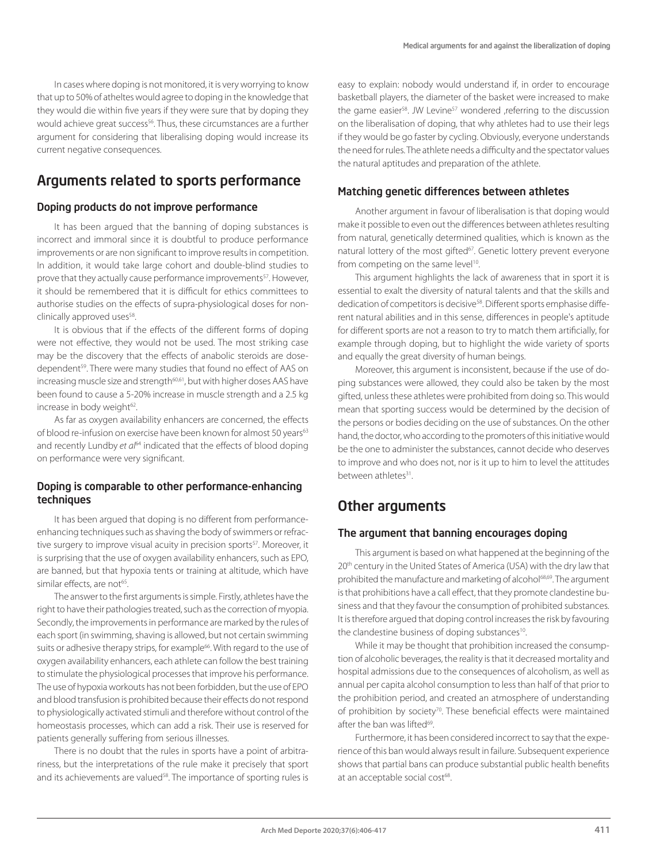In cases where doping is not monitored, it is very worrying to know that up to 50% of atheltes would agree to doping in the knowledge that they would die within five years if they were sure that by doping they would achieve great success<sup>56</sup>. Thus, these circumstances are a further argument for considering that liberalising doping would increase its current negative consequences.

### Arguments related to sports performance

### Doping products do not improve performance

It has been argued that the banning of doping substances is incorrect and immoral since it is doubtful to produce performance improvements or are non significant to improve results in competition. In addition, it would take large cohort and double-blind studies to prove that they actually cause performance improvements<sup>57</sup>. However, it should be remembered that it is difficult for ethics committees to authorise studies on the effects of supra-physiological doses for nonclinically approved uses<sup>58</sup>.

It is obvious that if the effects of the different forms of doping were not effective, they would not be used. The most striking case may be the discovery that the effects of anabolic steroids are dosedependent<sup>59</sup>. There were many studies that found no effect of AAS on increasing muscle size and strength<sup>60,61</sup>, but with higher doses AAS have been found to cause a 5-20% increase in muscle strength and a 2.5 kg increase in body weight<sup>62</sup>.

As far as oxygen availability enhancers are concerned, the effects of blood re-infusion on exercise have been known for almost 50 years<sup>63</sup> and recently Lundby *et al*<sup>64</sup> indicated that the effects of blood doping on performance were very significant.

### Doping is comparable to other performance-enhancing techniques

It has been argued that doping is no different from performanceenhancing techniques such as shaving the body of swimmers or refractive surgery to improve visual acuity in precision sports<sup>57</sup>. Moreover, it is surprising that the use of oxygen availability enhancers, such as EPO, are banned, but that hypoxia tents or training at altitude, which have similar effects, are not<sup>65</sup>.

The answer to the first arguments is simple. Firstly, athletes have the right to have their pathologies treated, such as the correction of myopia. Secondly, the improvements in performance are marked by the rules of each sport (in swimming, shaving is allowed, but not certain swimming suits or adhesive therapy strips, for example<sup>66</sup>. With regard to the use of oxygen availability enhancers, each athlete can follow the best training to stimulate the physiological processes that improve his performance. The use of hypoxia workouts has not been forbidden, but the use of EPO and blood transfusion is prohibited because their effects do not respond to physiologically activated stimuli and therefore without control of the homeostasis processes, which can add a risk. Their use is reserved for patients generally suffering from serious illnesses.

There is no doubt that the rules in sports have a point of arbitrariness, but the interpretations of the rule make it precisely that sport and its achievements are valued<sup>58</sup>. The importance of sporting rules is

easy to explain: nobody would understand if, in order to encourage basketball players, the diameter of the basket were increased to make the game easier<sup>58</sup>. JW Levine<sup>57</sup> wondered ,referring to the discussion on the liberalisation of doping, that why athletes had to use their legs if they would be go faster by cycling. Obviously, everyone understands the need for rules. The athlete needs a difficulty and the spectator values the natural aptitudes and preparation of the athlete.

### Matching genetic differences between athletes

Another argument in favour of liberalisation is that doping would make it possible to even out the differences between athletes resulting from natural, genetically determined qualities, which is known as the natural lottery of the most gifted<sup>67</sup>. Genetic lottery prevent everyone from competing on the same level<sup>10</sup>.

This argument highlights the lack of awareness that in sport it is essential to exalt the diversity of natural talents and that the skills and dedication of competitors is decisive<sup>58</sup>. Different sports emphasise different natural abilities and in this sense, differences in people's aptitude for different sports are not a reason to try to match them artificially, for example through doping, but to highlight the wide variety of sports and equally the great diversity of human beings.

Moreover, this argument is inconsistent, because if the use of doping substances were allowed, they could also be taken by the most gifted, unless these athletes were prohibited from doing so. This would mean that sporting success would be determined by the decision of the persons or bodies deciding on the use of substances. On the other hand, the doctor, who according to the promoters of this initiative would be the one to administer the substances, cannot decide who deserves to improve and who does not, nor is it up to him to level the attitudes between athletes<sup>31</sup>.

### Other arguments

### The argument that banning encourages doping

This argument is based on what happened at the beginning of the 20<sup>th</sup> century in the United States of America (USA) with the dry law that prohibited the manufacture and marketing of alcohol<sup>68,69</sup>. The argument is that prohibitions have a call effect, that they promote clandestine business and that they favour the consumption of prohibited substances. It is therefore argued that doping control increases the risk by favouring the clandestine business of doping substances<sup>10</sup>.

While it may be thought that prohibition increased the consumption of alcoholic beverages, the reality is that it decreased mortality and hospital admissions due to the consequences of alcoholism, as well as annual per capita alcohol consumption to less than half of that prior to the prohibition period, and created an atmosphere of understanding of prohibition by society<sup>70</sup>. These beneficial effects were maintained after the ban was lifted<sup>69</sup>.

Furthermore, it has been considered incorrect to say that the experience of this ban would always result in failure. Subsequent experience shows that partial bans can produce substantial public health benefits at an acceptable social cost<sup>68</sup>.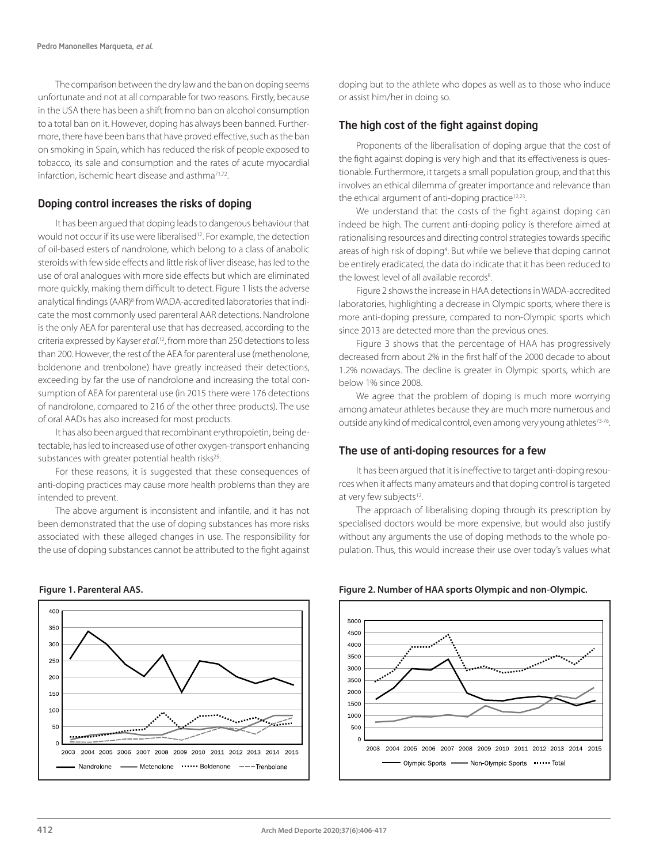The comparison between the dry law and the ban on doping seems unfortunate and not at all comparable for two reasons. Firstly, because in the USA there has been a shift from no ban on alcohol consumption to a total ban on it. However, doping has always been banned. Furthermore, there have been bans that have proved effective, such as the ban on smoking in Spain, which has reduced the risk of people exposed to tobacco, its sale and consumption and the rates of acute myocardial infarction, ischemic heart disease and asthma71,72.

### Doping control increases the risks of doping

It has been argued that doping leads to dangerous behaviour that would not occur if its use were liberalised<sup>12</sup>. For example, the detection of oil-based esters of nandrolone, which belong to a class of anabolic steroids with few side effects and little risk of liver disease, has led to the use of oral analogues with more side effects but which are eliminated more quickly, making them difficult to detect. Figure 1 lists the adverse analytical findings (AAR)<sup>8</sup> from WADA-accredited laboratories that indicate the most commonly used parenteral AAR detections. Nandrolone is the only AEA for parenteral use that has decreased, according to the criteria expressed by Kayser *et al*. 12, from more than 250 detections to less than 200. However, the rest of the AEA for parenteral use (methenolone, boldenone and trenbolone) have greatly increased their detections, exceeding by far the use of nandrolone and increasing the total consumption of AEA for parenteral use (in 2015 there were 176 detections of nandrolone, compared to 216 of the other three products). The use of oral AADs has also increased for most products.

It has also been argued that recombinant erythropoietin, being detectable, has led to increased use of other oxygen-transport enhancing substances with greater potential health risks $25$ .

For these reasons, it is suggested that these consequences of anti-doping practices may cause more health problems than they are intended to prevent.

The above argument is inconsistent and infantile, and it has not been demonstrated that the use of doping substances has more risks associated with these alleged changes in use. The responsibility for the use of doping substances cannot be attributed to the fight against



doping but to the athlete who dopes as well as to those who induce or assist him/her in doing so.

### The high cost of the fight against doping

Proponents of the liberalisation of doping argue that the cost of the fight against doping is very high and that its effectiveness is questionable. Furthermore, it targets a small population group, and that this involves an ethical dilemma of greater importance and relevance than the ethical argument of anti-doping practice $12,23$ .

We understand that the costs of the fight against doping can indeed be high. The current anti-doping policy is therefore aimed at rationalising resources and directing control strategies towards specific areas of high risk of doping<sup>4</sup>. But while we believe that doping cannot be entirely eradicated, the data do indicate that it has been reduced to the lowest level of all available records<sup>8</sup>. .

Figure 2 shows the increase in HAA detections in WADA-accredited laboratories, highlighting a decrease in Olympic sports, where there is more anti-doping pressure, compared to non-Olympic sports which since 2013 are detected more than the previous ones.

Figure 3 shows that the percentage of HAA has progressively decreased from about 2% in the first half of the 2000 decade to about 1.2% nowadays. The decline is greater in Olympic sports, which are below 1% since 2008.

We agree that the problem of doping is much more worrying among amateur athletes because they are much more numerous and outside any kind of medical control, even among very young athletes<sup>73-76</sup>.

#### The use of anti-doping resources for a few

It has been argued that it is ineffective to target anti-doping resources when it affects many amateurs and that doping control is targeted at very few subjects<sup>12</sup>.

The approach of liberalising doping through its prescription by specialised doctors would be more expensive, but would also justify without any arguments the use of doping methods to the whole population. Thus, this would increase their use over today's values what



#### **Figure 1. Parenteral AAS. Figure 2. Number of HAA sports Olympic and non-Olympic.**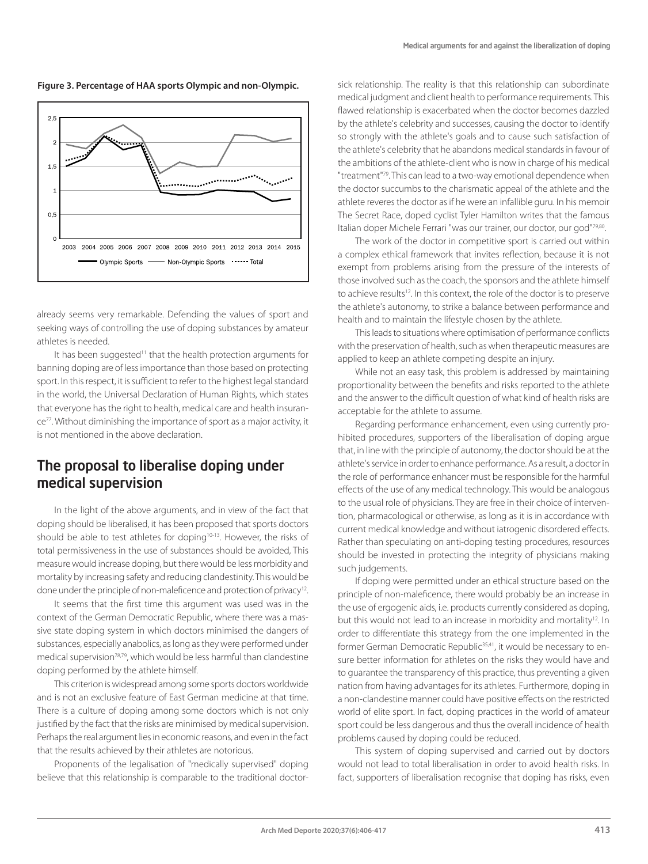**Figure 3. Percentage of HAA sports Olympic and non-Olympic.**



already seems very remarkable. Defending the values of sport and seeking ways of controlling the use of doping substances by amateur athletes is needed.

It has been suggested<sup>11</sup> that the health protection arguments for banning doping are of less importance than those based on protecting sport. In this respect, it is sufficient to refer to the highest legal standard in the world, the Universal Declaration of Human Rights, which states that everyone has the right to health, medical care and health insurance77. Without diminishing the importance of sport as a major activity, it is not mentioned in the above declaration.

### The proposal to liberalise doping under medical supervision

In the light of the above arguments, and in view of the fact that doping should be liberalised, it has been proposed that sports doctors should be able to test athletes for doping<sup>10-13</sup>. However, the risks of total permissiveness in the use of substances should be avoided, This measure would increase doping, but there would be less morbidity and mortality by increasing safety and reducing clandestinity. This would be done under the principle of non-maleficence and protection of privacy<sup>12</sup>.

It seems that the first time this argument was used was in the context of the German Democratic Republic, where there was a massive state doping system in which doctors minimised the dangers of substances, especially anabolics, as long as they were performed under medical supervision<sup>78,79</sup>, which would be less harmful than clandestine doping performed by the athlete himself.

This criterion is widespread among some sports doctors worldwide and is not an exclusive feature of East German medicine at that time. There is a culture of doping among some doctors which is not only justified by the fact that the risks are minimised by medical supervision. Perhaps the real argument lies in economic reasons, and even in the fact that the results achieved by their athletes are notorious.

Proponents of the legalisation of "medically supervised" doping believe that this relationship is comparable to the traditional doctor-

sick relationship. The reality is that this relationship can subordinate medical judgment and client health to performance requirements. This flawed relationship is exacerbated when the doctor becomes dazzled by the athlete's celebrity and successes, causing the doctor to identify so strongly with the athlete's goals and to cause such satisfaction of the athlete's celebrity that he abandons medical standards in favour of the ambitions of the athlete-client who is now in charge of his medical "treatment"79. This can lead to a two-way emotional dependence when the doctor succumbs to the charismatic appeal of the athlete and the athlete reveres the doctor as if he were an infallible guru. In his memoir The Secret Race, doped cyclist Tyler Hamilton writes that the famous Italian doper Michele Ferrari "was our trainer, our doctor, our god"79,80.

The work of the doctor in competitive sport is carried out within a complex ethical framework that invites reflection, because it is not exempt from problems arising from the pressure of the interests of those involved such as the coach, the sponsors and the athlete himself to achieve results<sup>12</sup>. In this context, the role of the doctor is to preserve the athlete's autonomy, to strike a balance between performance and health and to maintain the lifestyle chosen by the athlete.

This leads to situations where optimisation of performance conflicts with the preservation of health, such as when therapeutic measures are applied to keep an athlete competing despite an injury.

While not an easy task, this problem is addressed by maintaining proportionality between the benefits and risks reported to the athlete and the answer to the difficult question of what kind of health risks are acceptable for the athlete to assume.

Regarding performance enhancement, even using currently prohibited procedures, supporters of the liberalisation of doping argue that, in line with the principle of autonomy, the doctor should be at the athlete's service in order to enhance performance. As a result, a doctor in the role of performance enhancer must be responsible for the harmful effects of the use of any medical technology. This would be analogous to the usual role of physicians. They are free in their choice of intervention, pharmacological or otherwise, as long as it is in accordance with current medical knowledge and without iatrogenic disordered effects. Rather than speculating on anti-doping testing procedures, resources should be invested in protecting the integrity of physicians making such judgements.

If doping were permitted under an ethical structure based on the principle of non-maleficence, there would probably be an increase in the use of ergogenic aids, i.e. products currently considered as doping, but this would not lead to an increase in morbidity and mortality<sup>12</sup>. In order to differentiate this strategy from the one implemented in the former German Democratic Republic<sup>35,41</sup>, it would be necessary to ensure better information for athletes on the risks they would have and to guarantee the transparency of this practice, thus preventing a given nation from having advantages for its athletes. Furthermore, doping in a non-clandestine manner could have positive effects on the restricted world of elite sport. In fact, doping practices in the world of amateur sport could be less dangerous and thus the overall incidence of health problems caused by doping could be reduced.

This system of doping supervised and carried out by doctors would not lead to total liberalisation in order to avoid health risks. In fact, supporters of liberalisation recognise that doping has risks, even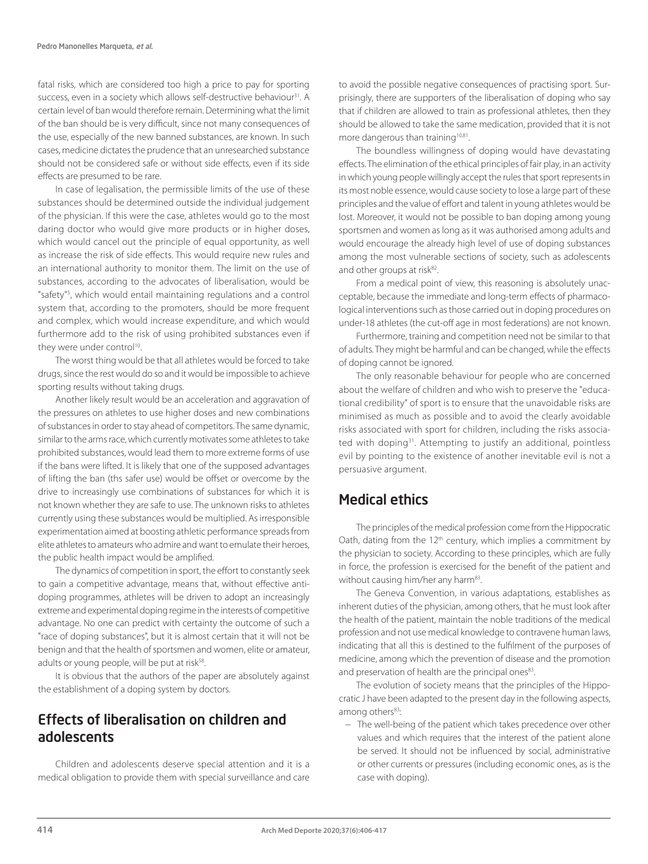fatal risks, which are considered too high a price to pay for sporting success, even in a society which allows self-destructive behaviour<sup>31</sup>. A certain level of ban would therefore remain. Determining what the limit of the ban should be is very difficult, since not many consequences of the use, especially of the new banned substances, are known. In such cases, medicine dictates the prudence that an unresearched substance should not be considered safe or without side effects, even if its side effects are presumed to be rare.

In case of legalisation, the permissible limits of the use of these substances should be determined outside the individual judgement of the physician. If this were the case, athletes would go to the most daring doctor who would give more products or in higher doses, which would cancel out the principle of equal opportunity, as well as increase the risk of side effects. This would require new rules and an international authority to monitor them. The limit on the use of substances, according to the advocates of liberalisation, would be "safety"5 , which would entail maintaining regulations and a control system that, according to the promoters, should be more frequent and complex, which would increase expenditure, and which would furthermore add to the risk of using prohibited substances even if they were under control<sup>10</sup>.

The worst thing would be that all athletes would be forced to take drugs, since the rest would do so and it would be impossible to achieve sporting results without taking drugs.

Another likely result would be an acceleration and aggravation of the pressures on athletes to use higher doses and new combinations of substances in order to stay ahead of competitors. The same dynamic, similar to the arms race, which currently motivates some athletes to take prohibited substances, would lead them to more extreme forms of use if the bans were lifted. It is likely that one of the supposed advantages of lifting the ban (ths safer use) would be offset or overcome by the drive to increasingly use combinations of substances for which it is not known whether they are safe to use. The unknown risks to athletes currently using these substances would be multiplied. As irresponsible experimentation aimed at boosting athletic performance spreads from elite athletes to amateurs who admire and want to emulate their heroes, the public health impact would be amplified.

The dynamics of competition in sport, the effort to constantly seek to gain a competitive advantage, means that, without effective antidoping programmes, athletes will be driven to adopt an increasingly extreme and experimental doping regime in the interests of competitive advantage. No one can predict with certainty the outcome of such a "race of doping substances", but it is almost certain that it will not be benign and that the health of sportsmen and women, elite or amateur, adults or young people, will be put at risk<sup>58</sup>.

It is obvious that the authors of the paper are absolutely against the establishment of a doping system by doctors.

### Effects of liberalisation on children and adolescents

Children and adolescents deserve special attention and it is a medical obligation to provide them with special surveillance and care to avoid the possible negative consequences of practising sport. Surprisingly, there are supporters of the liberalisation of doping who say that if children are allowed to train as professional athletes, then they should be allowed to take the same medication, provided that it is not more dangerous than training<sup>10,81</sup>.

The boundless willingness of doping would have devastating effects. The elimination of the ethical principles of fair play, in an activity in which young people willingly accept the rules that sport represents in its most noble essence, would cause society to lose a large part of these principles and the value of effort and talent in young athletes would be lost. Moreover, it would not be possible to ban doping among young sportsmen and women as long as it was authorised among adults and would encourage the already high level of use of doping substances among the most vulnerable sections of society, such as adolescents and other groups at risk<sup>82</sup>.

From a medical point of view, this reasoning is absolutely unacceptable, because the immediate and long-term effects of pharmacological interventions such as those carried out in doping procedures on under-18 athletes (the cut-off age in most federations) are not known.

Furthermore, training and competition need not be similar to that of adults. They might be harmful and can be changed, while the effects of doping cannot be ignored.

The only reasonable behaviour for people who are concerned about the welfare of children and who wish to preserve the "educational credibility" of sport is to ensure that the unavoidable risks are minimised as much as possible and to avoid the clearly avoidable risks associated with sport for children, including the risks associated with doping<sup>31</sup>. Attempting to justify an additional, pointless evil by pointing to the existence of another inevitable evil is not a persuasive argument.

### Medical ethics

The principles of the medical profession come from the Hippocratic Oath, dating from the 12<sup>th</sup> century, which implies a commitment by the physician to society. According to these principles, which are fully in force, the profession is exercised for the benefit of the patient and without causing him/her any harm<sup>83</sup>.

The Geneva Convention, in various adaptations, establishes as inherent duties of the physician, among others, that he must look after the health of the patient, maintain the noble traditions of the medical profession and not use medical knowledge to contravene human laws, indicating that all this is destined to the fulfilment of the purposes of medicine, among which the prevention of disease and the promotion and preservation of health are the principal ones83.

The evolution of society means that the principles of the Hippocratic J have been adapted to the present day in the following aspects, among others<sup>83</sup>:

− The well-being of the patient which takes precedence over other values and which requires that the interest of the patient alone be served. It should not be influenced by social, administrative or other currents or pressures (including economic ones, as is the case with doping).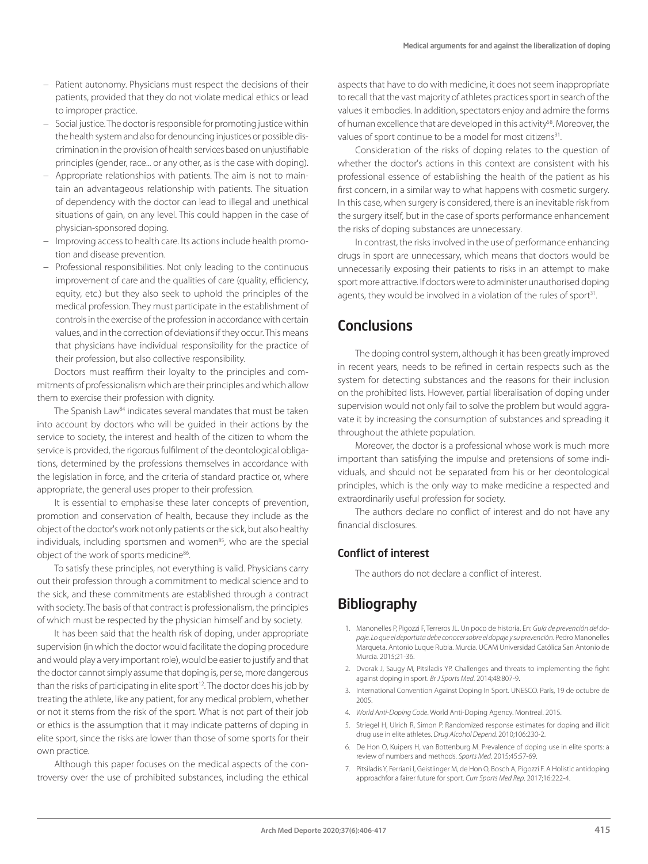- − Patient autonomy. Physicians must respect the decisions of their patients, provided that they do not violate medical ethics or lead to improper practice.
- − Social justice. The doctor is responsible for promoting justice within the health system and also for denouncing injustices or possible discrimination in the provision of health services based on unjustifiable principles (gender, race... or any other, as is the case with doping).
- − Appropriate relationships with patients. The aim is not to maintain an advantageous relationship with patients. The situation of dependency with the doctor can lead to illegal and unethical situations of gain, on any level. This could happen in the case of physician-sponsored doping.
- − Improving access to health care. Its actions include health promotion and disease prevention.
- − Professional responsibilities. Not only leading to the continuous improvement of care and the qualities of care (quality, efficiency, equity, etc.) but they also seek to uphold the principles of the medical profession. They must participate in the establishment of controls in the exercise of the profession in accordance with certain values, and in the correction of deviations if they occur. This means that physicians have individual responsibility for the practice of their profession, but also collective responsibility.

Doctors must reaffirm their loyalty to the principles and commitments of professionalism which are their principles and which allow them to exercise their profession with dignity.

The Spanish Law<sup>84</sup> indicates several mandates that must be taken into account by doctors who will be guided in their actions by the service to society, the interest and health of the citizen to whom the service is provided, the rigorous fulfilment of the deontological obligations, determined by the professions themselves in accordance with the legislation in force, and the criteria of standard practice or, where appropriate, the general uses proper to their profession.

It is essential to emphasise these later concepts of prevention, promotion and conservation of health, because they include as the object of the doctor's work not only patients or the sick, but also healthy individuals, including sportsmen and women<sup>85</sup>, who are the special object of the work of sports medicine<sup>86</sup>.

To satisfy these principles, not everything is valid. Physicians carry out their profession through a commitment to medical science and to the sick, and these commitments are established through a contract with society. The basis of that contract is professionalism, the principles of which must be respected by the physician himself and by society.

It has been said that the health risk of doping, under appropriate supervision (in which the doctor would facilitate the doping procedure and would play a very important role), would be easier to justify and that the doctor cannot simply assume that doping is, per se, more dangerous than the risks of participating in elite sport<sup>12</sup>. The doctor does his job by treating the athlete, like any patient, for any medical problem, whether or not it stems from the risk of the sport. What is not part of their job or ethics is the assumption that it may indicate patterns of doping in elite sport, since the risks are lower than those of some sports for their own practice.

Although this paper focuses on the medical aspects of the controversy over the use of prohibited substances, including the ethical aspects that have to do with medicine, it does not seem inappropriate to recall that the vast majority of athletes practices sport in search of the values it embodies. In addition, spectators enjoy and admire the forms of human excellence that are developed in this activity<sup>58</sup>. Moreover, the values of sport continue to be a model for most citizens<sup>31</sup>.

Consideration of the risks of doping relates to the question of whether the doctor's actions in this context are consistent with his professional essence of establishing the health of the patient as his first concern, in a similar way to what happens with cosmetic surgery. In this case, when surgery is considered, there is an inevitable risk from the surgery itself, but in the case of sports performance enhancement the risks of doping substances are unnecessary.

In contrast, the risks involved in the use of performance enhancing drugs in sport are unnecessary, which means that doctors would be unnecessarily exposing their patients to risks in an attempt to make sport more attractive. If doctors were to administer unauthorised doping agents, they would be involved in a violation of the rules of sport<sup>31</sup>.

### **Conclusions**

The doping control system, although it has been greatly improved in recent years, needs to be refined in certain respects such as the system for detecting substances and the reasons for their inclusion on the prohibited lists. However, partial liberalisation of doping under supervision would not only fail to solve the problem but would aggravate it by increasing the consumption of substances and spreading it throughout the athlete population.

Moreover, the doctor is a professional whose work is much more important than satisfying the impulse and pretensions of some individuals, and should not be separated from his or her deontological principles, which is the only way to make medicine a respected and extraordinarily useful profession for society.

The authors declare no conflict of interest and do not have any financial disclosures.

### Conflict of interest

The authors do not declare a conflict of interest.

### **Bibliography**

- 1. Manonelles P, Pigozzi F, Terreros JL. Un poco de historia. En: *Guía de prevención del dopaje. Lo que el deportista debe conocer sobre el dopaje y su prevención*. Pedro Manonelles Marqueta. Antonio Luque Rubia. Murcia. UCAM Universidad Católica San Antonio de Murcia. 2015;21-36.
- 2. Dvorak J, Saugy M, Pitsiladis YP. Challenges and threats to implementing the fight against doping in sport. *Br J Sports Med*. 2014;48:807-9.
- 3. International Convention Against Doping In Sport. UNESCO. París, 19 de octubre de 2005.
- 4. *World Anti-Doping Code*. World Anti-Doping Agency. Montreal. 2015.
- 5. Striegel H, Ulrich R, Simon P. Randomized response estimates for doping and illicit drug use in elite athletes. *Drug Alcohol Depend.* 2010;106:230-2.
- 6. De Hon O, Kuipers H, van Bottenburg M. Prevalence of doping use in elite sports: a review of numbers and methods. *Sports Med*. 2015;45:57-69.
- 7. Pitsiladis Y, Ferriani I, Geistlinger M, de Hon O, Bosch A, Pigozzi F. A Holistic antidoping approachfor a fairer future for sport. *Curr Sports Med Rep*. 2017;16:222-4.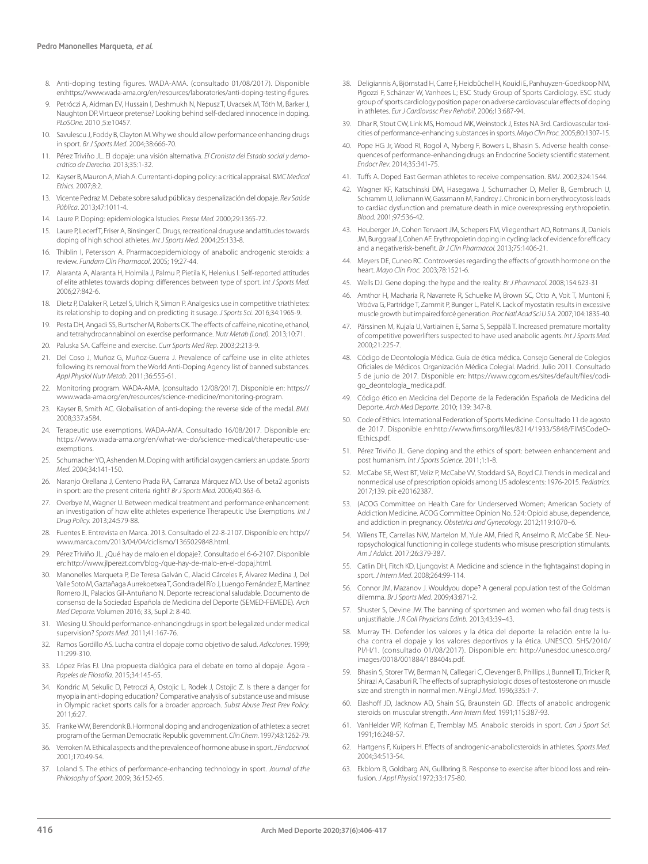- 8. Anti-doping testing figures. WADA-AMA. (consultado 01/08/2017). Disponible en:https://www.wada-ama.org/en/resources/laboratories/anti-doping-testing-figures.
- 9. Petróczi A, Aidman EV, Hussain I, Deshmukh N, Nepusz T, Uvacsek M, Tóth M, Barker J, Naughton DP. Virtueor pretense? Looking behind self-declared innocence in doping. *PLoSOne.* 2010 ;5:e10457.
- 10. Savulescu J, Foddy B, Clayton M. Why we should allow performance enhancing drugs in sport. *Br J Sports Med*. 2004;38:666-70.
- 11. Pérez Triviño JL. El dopaje: una visión alternativa. *El Cronista del Estado social y democrático de Derecho.* 2013;35:1-32.
- 12. Kayser B, Mauron A, Miah A. Currentanti-doping policy: a critical appraisal. *BMC Medical Ethics.* 2007;8:2.
- 13. Vicente Pedraz M. Debate sobre salud pública y despenalización del dopaje. *Rev Saúde Pública*. 2013;47:1011-4.
- 14. Laure P. Doping: epidemiologica lstudies. *Presse Med.* 2000;29:1365-72.
- 15. Laure P, Lecerf T, Friser A, Binsinger C. Drugs, recreational drug use and attitudes towards doping of high school athletes. *Int J Sports Med*. 2004;25:133-8.
- 16. Thiblin I, Petersson A. Pharmacoepidemiology of anabolic androgenic steroids: a review. *Fundam Clin Pharmacol*. 2005; 19:27-44.
- 17. Alaranta A, Alaranta H, Holmila J, Palmu P, Pietila K, Helenius I. Self-reported attitudes of elite athletes towards doping: differences between type of sport. *Int J Sports Med.*  2006;27:842-6.
- 18. Dietz P, Dalaker R, Letzel S, Ulrich R, Simon P. Analgesics use in competitive triathletes: its relationship to doping and on predicting it susage. *J Sports Sci.* 2016;34:1965-9.
- 19. Pesta DH, Angadi SS, Burtscher M, Roberts CK. The effects of caffeine, nicotine, ethanol, and tetrahydrocannabinol on exercise performance. *Nutr Metab (Lond).* 2013;10:71.
- 20. Paluska SA. Caffeine and exercise. *Curr Sports Med Rep*. 2003;2:213-9.
- 21. Del Coso J, Muñoz G, Muñoz-Guerra J. Prevalence of caffeine use in elite athletes following its removal from the World Anti-Doping Agency list of banned substances. *Appl Physiol Nutr Metab.* 2011;36:555-61.
- 22. Monitoring program. WADA-AMA. (consultado 12/08/2017). Disponible en: https:// www.wada-ama.org/en/resources/science-medicine/monitoring-program.
- 23. Kayser B, Smith AC. Globalisation of anti-doping: the reverse side of the medal. *BMJ.* 2008;337:a584.
- 24. Terapeutic use exemptions. WADA-AMA. Consultado 16/08/2017. Disponible en: https://www.wada-ama.org/en/what-we-do/science-medical/therapeutic-useexemptions.
- 25. Schumacher YO, Ashenden M. Doping with artificial oxygen carriers: an update. *Sports Med.* 2004;34:141-150.
- 26. Naranjo Orellana J, Centeno Prada RA, Carranza Márquez MD. Use of beta2 agonists in sport: are the present criteria right? *Br J Sports Med.* 2006;40:363-6.
- 27. Overbye M, Wagner U. Between medical treatment and performance enhancement: an investigation of how elite athletes experience Therapeutic Use Exemptions. *Int J Drug Policy.* 2013;24:579-88.
- 28. Fuentes E. Entrevista en Marca. 2013. Consultado el 22-8-2107. Disponible en: http:// www.marca.com/2013/04/04/ciclismo/1365029848.html.
- 29. Pérez Triviño JL. ¿Qué hay de malo en el dopaje?. Consultado el 6-6-2107. Disponible en: http://www.jlperezt.com/blog-/que-hay-de-malo-en-el-dopaj.html.
- 30. Manonelles Marqueta P, De Teresa Galván C, Alacid Cárceles F, Álvarez Medina J, Del Valle Soto M, Gaztañaga Aurrekoetxea T, Gondra del Río J, Luengo Fernández E, Martínez Romero JL, Palacios Gil-Antuñano N. Deporte recreacional saludable. Documento de consenso de la Sociedad Española de Medicina del Deporte (SEMED-FEMEDE). *Arch Med Deporte.* Volumen 2016; 33, Supl 2: 8-40.
- 31. Wiesing U. Should performance-enhancingdrugs in sport be legalized under medical supervision? *Sports Med.* 2011;41:167-76.
- 32. Ramos Gordillo AS. Lucha contra el dopaje como objetivo de salud. *Adicciones*. 1999; 11:299-310.
- 33. López Frías FJ. Una propuesta dialógica para el debate en torno al dopaje. Ágora *Papeles de Filosofía*. 2015;34:145-65.
- 34. Kondric M, Sekulic D, Petroczi A, Ostojic L, Rodek J, Ostojic Z. Is there a danger for myopia in anti-doping education? Comparative analysis of substance use and misuse in Olympic racket sports calls for a broader approach. *Subst Abuse Treat Prev Policy.*  2011;6:27.
- 35. Franke WW, Berendonk B. Hormonal doping and androgenization of athletes: a secret program of the German Democratic Republic government. *Clin Chem.* 1997;43:1262-79.
- 36. Verroken M. Ethical aspects and the prevalence of hormone abuse in sport. *J Endocrinol.*  2001;170:49-54.
- 37. Loland S. The ethics of performance-enhancing technology in sport. *Journal of the Philosophy of Sport.* 2009; 36:152-65.
- 38. Deligiannis A, Björnstad H, Carre F, Heidbüchel H, Kouidi E, Panhuyzen-Goedkoop NM, Pigozzi F, Schänzer W, Vanhees L; ESC Study Group of Sports Cardiology. ESC study group of sports cardiology position paper on adverse cardiovascular effects of doping in athletes. *Eur J Cardiovasc Prev Rehabil*. 2006;13:687-94.
- 39. Dhar R, Stout CW, Link MS, Homoud MK, Weinstock J, Estes NA 3rd. Cardiovascular toxicities of performance-enhancing substances in sports. *Mayo Clin Proc.* 2005;80:1307-15.
- 40. Pope HG Jr, Wood RI, Rogol A, Nyberg F, Bowers L, Bhasin S. Adverse health consequences of performance-enhancing drugs: an Endocrine Society scientific statement. *Endocr Rev.* 2014;35:341-75.
- 41. Tuffs A. Doped East German athletes to receive compensation. *BMJ*. 2002;324:1544.
- 42. Wagner KF, Katschinski DM, Hasegawa J, Schumacher D, Meller B, Gembruch U, Schramm U, Jelkmann W, Gassmann M, Fandrey J. Chronic in born erythrocytosis leads to cardiac dysfunction and premature death in mice overexpressing erythropoietin. *Blood.* 2001;97:536-42.
- 43. Heuberger JA, Cohen Tervaert JM, Schepers FM, Vliegenthart AD, Rotmans JI, Daniels JM, Burggraaf J, Cohen AF. Erythropoietin doping in cycling: lack of evidence for efficacy and a negativerisk-benefit. *Br J Clin Pharmacol.* 2013;75:1406-21.
- 44. Meyers DE, Cuneo RC. Controversies regarding the effects of growth hormone on the heart. *Mayo Clin Proc.* 2003;78:1521-6.
- 45. Wells DJ. Gene doping: the hype and the reality. *Br J Pharmacol.* 2008;154:623-31
- Amthor H, Macharia R, Navarrete R, Schuelke M, Brown SC, Otto A, Voit T, Muntoni F, Vrbóva G, Partridge T, Zammit P, Bunger L, Patel K. Lack of myostatin results in excessive muscle growth but impaired forcé generation. *Proc Natl Acad Sci U S A*. 2007;104:1835-40.
- 47. Pärssinen M, Kujala U, Vartiainen E, Sarna S, Seppälä T. Increased premature mortality of competitive powerlifters suspected to have used anabolic agents. *Int J Sports Med.* 2000;21:225-7.
- 48. Código de Deontología Médica. Guía de ética médica. Consejo General de Colegios Oficiales de Médicos. Organización Médica Colegial. Madrid. Julio 2011. Consultado 5 de junio de 2017. Disponible en: https://www.cgcom.es/sites/default/files/codigo\_deontologia\_medica.pdf.
- 49. Código ético en Medicina del Deporte de la Federación Española de Medicina del Deporte. *Arch Med Deporte*. 2010; 139: 347-8.
- 50. Code of Ethics. International Federation of Sports Medicine. Consultado 11 de agosto de 2017. Disponible en:http://www.fims.org/files/8214/1933/5848/FIMSCodeOfEthics.pdf.
- 51. Pérez Triviño JL. Gene doping and the ethics of sport: between enhancement and post humanism. *Int J Sports Science.* 2011;1:1-8.
- 52. McCabe SE, West BT, Veliz P, McCabe VV, Stoddard SA, Boyd CJ. Trends in medical and nonmedical use of prescription opioids among US adolescents: 1976-2015. *Pediatrics.*  2017;139. pii: e20162387.
- 53. (ACOG Committee on Health Care for Underserved Women; American Society of Addiction Medicine. ACOG Committee Opinion No. 524: Opioid abuse, dependence, and addiction in pregnancy. *Obstetrics and Gynecology*. 2012;119:1070–6.
- 54. Wilens TE, Carrellas NW, Martelon M, Yule AM, Fried R, Anselmo R, McCabe SE. Neuropsychological functioning in college students who misuse prescription stimulants. *Am J Addict.* 2017;26:379-387.
- 55. Catlin DH, Fitch KD, Ljungqvist A. Medicine and science in the fightagainst doping in sport. *J Intern Med*. 2008;264:99-114.
- 56. Connor JM, Mazanov J. Wouldyou dope? A general population test of the Goldman dilemma. *Br J Sports Med*. 2009;43:871-2.
- Shuster S, Devine JW. The banning of sportsmen and women who fail drug tests is unjustifiable. *J R Coll Physicians Edinb.* 2013;43:39–43.
- 58. Murray TH. Defender los valores y la ética del deporte: la relación entre la lucha contra el dopaje y los valores deportivos y la ética. UNESCO. SHS/2010/ PI/H/1. (consultado 01/08/2017). Disponible en: http://unesdoc.unesco.org/ images/0018/001884/188404s.pdf.
- 59. Bhasin S, Storer TW, Berman N, Callegari C, Clevenger B, Phillips J, Bunnell TJ, Tricker R, Shirazi A, Casaburi R. The effects of supraphysiologic doses of testosterone on muscle size and strength in normal men. *N Engl J Med*. 1996;335:1-7.
- 60. Elashoff JD, Jacknow AD, Shain SG, Braunstein GD. Effects of anabolic androgenic steroids on muscular strength. *Ann Intern Med.* 1991;115:387-93.
- 61. VanHelder WP, Kofman E, Tremblay MS. Anabolic steroids in sport. *Can J Sport Sci.*  1991;16:248-57.
- 62. Hartgens F, Kuipers H. Effects of androgenic-anabolicsteroids in athletes. *Sports Med.*  2004;34:513-54.
- Ekblom B, Goldbarg AN, Gullbring B. Response to exercise after blood loss and reinfusion. *J Appl Physiol.*1972;33:175-80.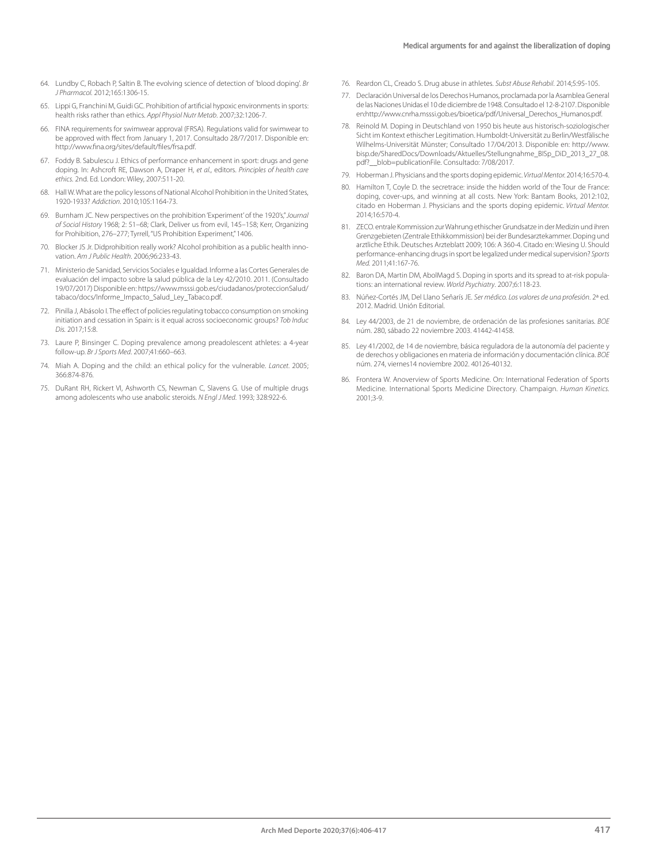- 64. Lundby C, Robach P, Saltin B. The evolving science of detection of 'blood doping'. *Br J Pharmacol.* 2012;165:1306-15.
- 65. Lippi G, Franchini M, Guidi GC. Prohibition of artificial hypoxic environments in sports: health risks rather than ethics. *Appl Physiol Nutr Metab*. 2007;32:1206-7.
- 66. FINA requirements for swimwear approval (FRSA). Regulations valid for swimwear to be approved with ffect from January 1, 2017. Consultado 28/7/2017. Disponible en: http://www.fina.org/sites/default/files/frsa.pdf.
- 67. Foddy B. Sabulescu J. Ethics of performance enhancement in sport: drugs and gene doping. In: Ashcroft RE, Dawson A, Draper H, *et al.*, editors. *Principles of health care ethics.* 2nd. Ed. London: Wiley, 2007:511-20.
- 68. Hall W. What are the policy lessons of National Alcohol Prohibition in the United States, 1920-1933? *Addiction*. 2010;105:1164-73.
- 69. Burnham JC. New perspectives on the prohibition 'Experiment' of the 1920's," *Journal of Social History* 1968; 2: 51–68; Clark, Deliver us from evil, 145–158; Kerr, Organizing for Prohibition, 276-277; Tyrrell, "US Prohibition Experiment," 1406.
- 70. Blocker JS Jr. Didprohibition really work? Alcohol prohibition as a public health innovation. *Am J Public Health*. 2006;96:233-43.
- 71. Ministerio de Sanidad, Servicios Sociales e Igualdad. Informe a las Cortes Generales de evaluación del impacto sobre la salud pública de la Ley 42/2010. 2011. (Consultado 19/07/2017) Disponible en: https://www.msssi.gob.es/ciudadanos/proteccionSalud/ tabaco/docs/Informe\_Impacto\_Salud\_Ley\_Tabaco.pdf.
- 72. Pinilla J, Abásolo I. The effect of policies regulating tobacco consumption on smoking initiation and cessation in Spain: is it equal across socioeconomic groups? *Tob Induc Dis.* 2017;15:8.
- 73. Laure P, Binsinger C. Doping prevalence among preadolescent athletes: a 4-year follow-up. *Br J Sports Med*. 2007;41:660–663.
- 74. Miah A. Doping and the child: an ethical policy for the vulnerable. *Lancet.* 2005; 366:874-876.
- 75. DuRant RH, Rickert VI, Ashworth CS, Newman C, Slavens G. Use of multiple drugs among adolescents who use anabolic steroids. *N Engl J Med*. 1993; 328:922-6.
- 76. Reardon CL, Creado S. Drug abuse in athletes. *Subst Abuse Rehabil*. 2014;5:95-105.
- 77. Declaración Universal de los Derechos Humanos, proclamada por la Asamblea General de las Naciones Unidas el 10 de diciembre de 1948. Consultado el 12-8-2107. Disponible en:http://www.cnrha.msssi.gob.es/bioetica/pdf/Universal\_Derechos\_Humanos.pdf.
- Reinold M. Doping in Deutschland von 1950 bis heute aus historisch-soziologischer Sicht im Kontext ethischer Legitimation. Humboldt-Universität zu Berlin/Westfälische Wilhelms-Universität Münster; Consultado 17/04/2013. Disponible en: http://www. bisp.de/SharedDocs/Downloads/Aktuelles/Stellungnahme\_BISp\_DiD\_2013\_27\_08. pdf?\_\_blob=publicationFile. Consultado: 7/08/2017.
- 79. Hoberman J. Physicians and the sports doping epidemic. *Virtual Mentor.* 2014;16:570-4.
- 80. Hamilton T, Coyle D. the secretrace: inside the hidden world of the Tour de France: doping, cover-ups, and winning at all costs. New York: Bantam Books, 2012:102, citado en Hoberman J. Physicians and the sports doping epidemic. *Virtual Mentor.*  2014;16:570-4.
- 81. ZECO. entrale Kommission zur Wahrung ethischer Grundsatze in der Medizin und ihren Grenzgebieten (Zentrale Ethikkommission) bei der Bundesarztekammer. Doping und arztliche Ethik. Deutsches Arzteblatt 2009; 106: A 360-4. Citado en: Wiesing U. Should performance-enhancing drugs in sport be legalized under medical supervision? *Sports Med.* 2011;41:167-76.
- 82. Baron DA, Martin DM, AbolMagd S. Doping in sports and its spread to at-risk populations: an international review. *World Psychiatry*. 2007;6:118-23.
- 83. Núñez-Cortés JM, Del Llano Señarís JE. *Ser médico. Los valores de una profesión*. 2ª ed. 2012. Madrid. Unión Editorial.
- 84. Ley 44/2003, de 21 de noviembre, de ordenación de las profesiones sanitarias. *BOE*  núm. 280, sábado 22 noviembre 2003. 41442-41458.
- Ley 41/2002, de 14 de noviembre, básica reguladora de la autonomía del paciente y de derechos y obligaciones en materia de información y documentación clínica. *BOE*  núm. 274, viernes14 noviembre 2002. 40126-40132.
- 86. Frontera W. Anoverview of Sports Medicine. On: International Federation of Sports Medicine. International Sports Medicine Directory. Champaign. *Human Kinetics.*  2001;3-9.